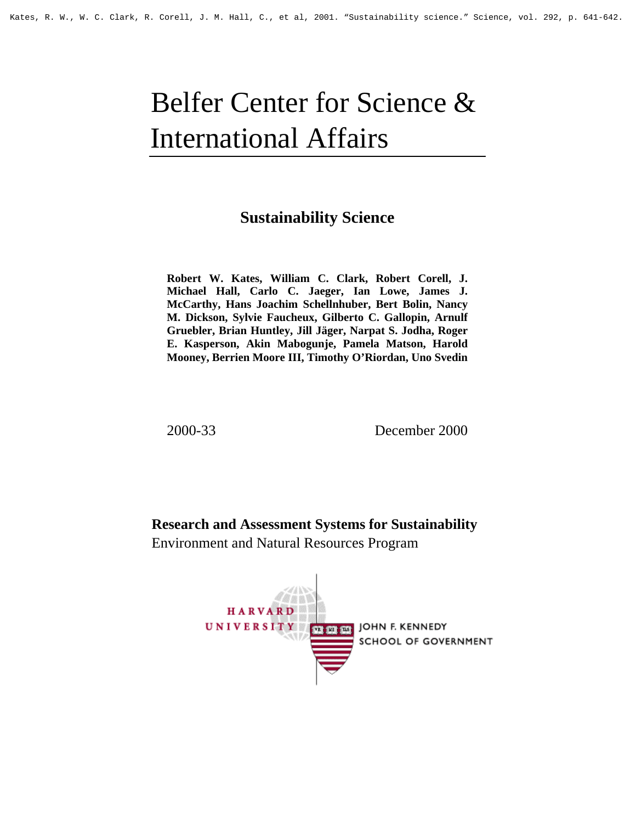# Belfer Center for Science & International Affairs

## **Sustainability Science**

**Robert W. Kates, William C. Clark, Robert Corell, J. Michael Hall, Carlo C. Jaeger, Ian Lowe, James J. McCarthy, Hans Joachim Schellnhuber, Bert Bolin, Nancy M. Dickson, Sylvie Faucheux, Gilberto C. Gallopin, Arnulf Gruebler, Brian Huntley, Jill Jäger, Narpat S. Jodha, Roger E. Kasperson, Akin Mabogunje, Pamela Matson, Harold Mooney, Berrien Moore III, Timothy O'Riordan, Uno Svedin** 

2000-33

December 2000

**Research and Assessment Systems for Sustainability**

Environment and Natural Resources Program

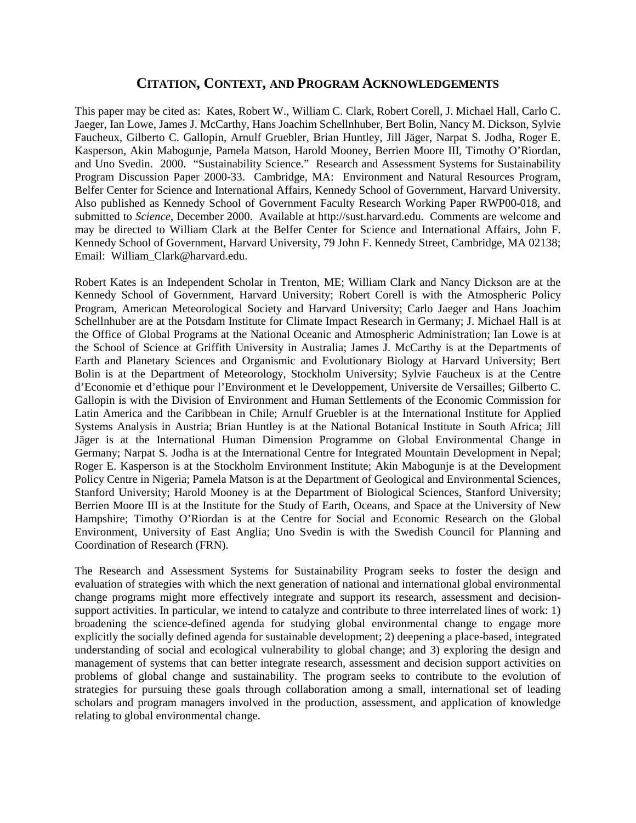#### **CITATION, CONTEXT, AND PROGRAM ACKNOWLEDGEMENTS**

This paper may be cited as: Kates, Robert W., William C. Clark, Robert Corell, J. Michael Hall, Carlo C. Jaeger, Ian Lowe, James J. McCarthy, Hans Joachim Schellnhuber, Bert Bolin, Nancy M. Dickson, Sylvie Faucheux, Gilberto C. Gallopin, Arnulf Gruebler, Brian Huntley, Jill Jäger, Narpat S. Jodha, Roger E. Kasperson, Akin Mabogunje, Pamela Matson, Harold Mooney, Berrien Moore III, Timothy O'Riordan, and Uno Svedin. 2000. "Sustainability Science." Research and Assessment Systems for Sustainability Program Discussion Paper 2000-33. Cambridge, MA: Environment and Natural Resources Program, Belfer Center for Science and International Affairs, Kennedy School of Government, Harvard University. Also published as Kennedy School of Government Faculty Research Working Paper RWP00-018, and submitted to *Science*, December 2000. Available at http://sust.harvard.edu. Comments are welcome and may be directed to William Clark at the Belfer Center for Science and International Affairs, John F. Kennedy School of Government, Harvard University, 79 John F. Kennedy Street, Cambridge, MA 02138; Email: William\_Clark@harvard.edu.

Robert Kates is an Independent Scholar in Trenton, ME; William Clark and Nancy Dickson are at the Kennedy School of Government, Harvard University; Robert Corell is with the Atmospheric Policy Program, American Meteorological Society and Harvard University; Carlo Jaeger and Hans Joachim Schellnhuber are at the Potsdam Institute for Climate Impact Research in Germany; J. Michael Hall is at the Office of Global Programs at the National Oceanic and Atmospheric Administration; Ian Lowe is at the School of Science at Griffith University in Australia; James J. McCarthy is at the Departments of Earth and Planetary Sciences and Organismic and Evolutionary Biology at Harvard University; Bert Bolin is at the Department of Meteorology, Stockholm University; Sylvie Faucheux is at the Centre d'Economie et d'ethique pour l'Environment et le Developpement, Universite de Versailles; Gilberto C. Gallopin is with the Division of Environment and Human Settlements of the Economic Commission for Latin America and the Caribbean in Chile; Arnulf Gruebler is at the International Institute for Applied Systems Analysis in Austria; Brian Huntley is at the National Botanical Institute in South Africa; Jill Jäger is at the International Human Dimension Programme on Global Environmental Change in Germany; Narpat S. Jodha is at the International Centre for Integrated Mountain Development in Nepal; Roger E. Kasperson is at the Stockholm Environment Institute; Akin Mabogunje is at the Development Policy Centre in Nigeria; Pamela Matson is at the Department of Geological and Environmental Sciences, Stanford University; Harold Mooney is at the Department of Biological Sciences, Stanford University; Berrien Moore III is at the Institute for the Study of Earth, Oceans, and Space at the University of New Hampshire; Timothy O'Riordan is at the Centre for Social and Economic Research on the Global Environment, University of East Anglia; Uno Svedin is with the Swedish Council for Planning and Coordination of Research (FRN).

The Research and Assessment Systems for Sustainability Program seeks to foster the design and evaluation of strategies with which the next generation of national and international global environmental change programs might more effectively integrate and support its research, assessment and decisionsupport activities. In particular, we intend to catalyze and contribute to three interrelated lines of work: 1) broadening the science-defined agenda for studying global environmental change to engage more explicitly the socially defined agenda for sustainable development; 2) deepening a place-based, integrated understanding of social and ecological vulnerability to global change; and 3) exploring the design and management of systems that can better integrate research, assessment and decision support activities on problems of global change and sustainability. The program seeks to contribute to the evolution of strategies for pursuing these goals through collaboration among a small, international set of leading scholars and program managers involved in the production, assessment, and application of knowledge relating to global environmental change.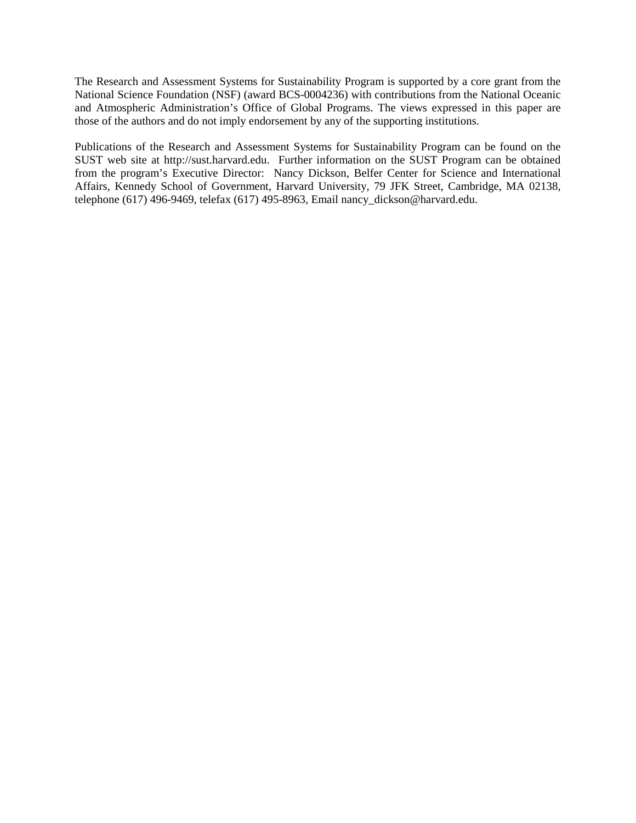The Research and Assessment Systems for Sustainability Program is supported by a core grant from the National Science Foundation (NSF) (award BCS-0004236) with contributions from the National Oceanic and Atmospheric Administration's Office of Global Programs. The views expressed in this paper are those of the authors and do not imply endorsement by any of the supporting institutions.

Publications of the Research and Assessment Systems for Sustainability Program can be found on the SUST web site at http://sust.harvard.edu. Further information on the SUST Program can be obtained from the program's Executive Director: Nancy Dickson, Belfer Center for Science and International Affairs, Kennedy School of Government, Harvard University, 79 JFK Street, Cambridge, MA 02138, telephone (617) 496-9469, telefax (617) 495-8963, Email nancy\_dickson@harvard.edu.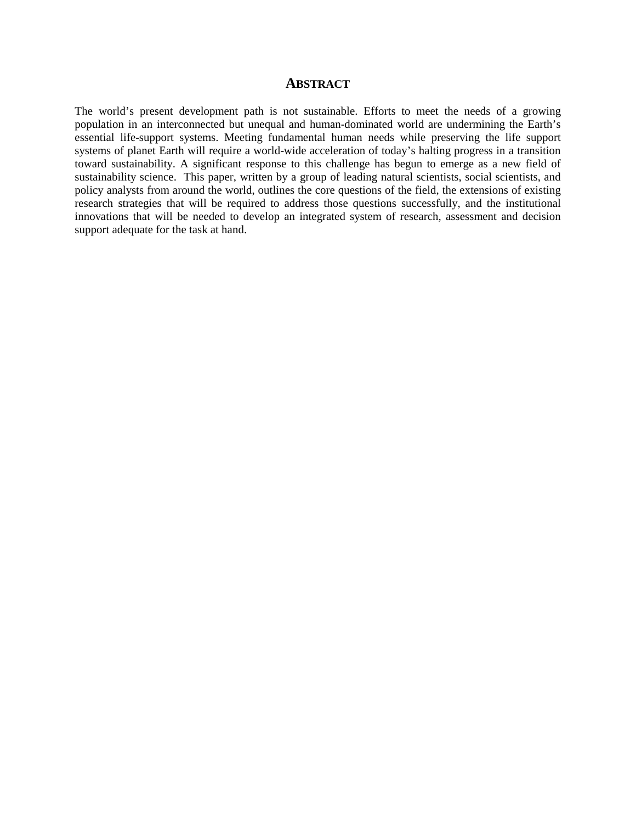#### **ABSTRACT**

The world's present development path is not sustainable. Efforts to meet the needs of a growing population in an interconnected but unequal and human-dominated world are undermining the Earth's essential life-support systems. Meeting fundamental human needs while preserving the life support systems of planet Earth will require a world-wide acceleration of today's halting progress in a transition toward sustainability. A significant response to this challenge has begun to emerge as a new field of sustainability science. This paper, written by a group of leading natural scientists, social scientists, and policy analysts from around the world, outlines the core questions of the field, the extensions of existing research strategies that will be required to address those questions successfully, and the institutional innovations that will be needed to develop an integrated system of research, assessment and decision support adequate for the task at hand.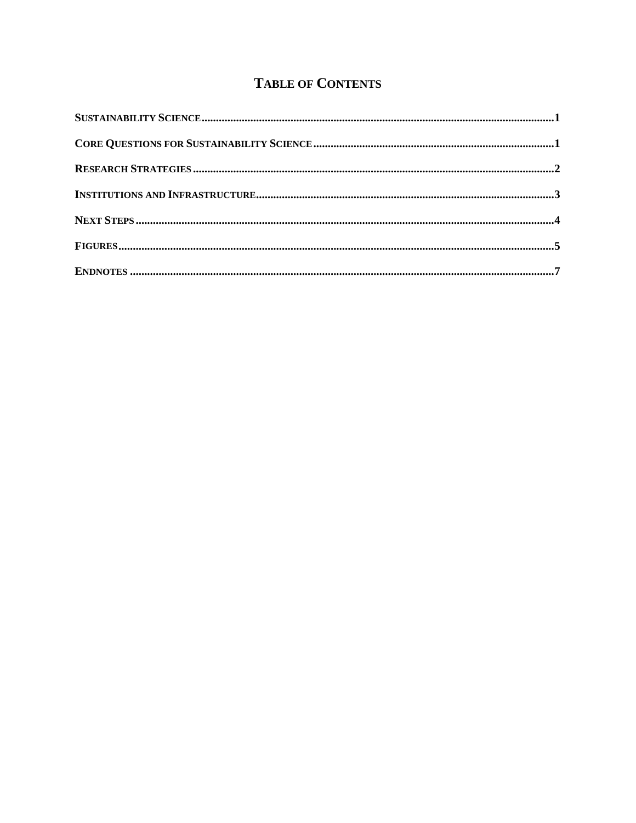## **TABLE OF CONTENTS**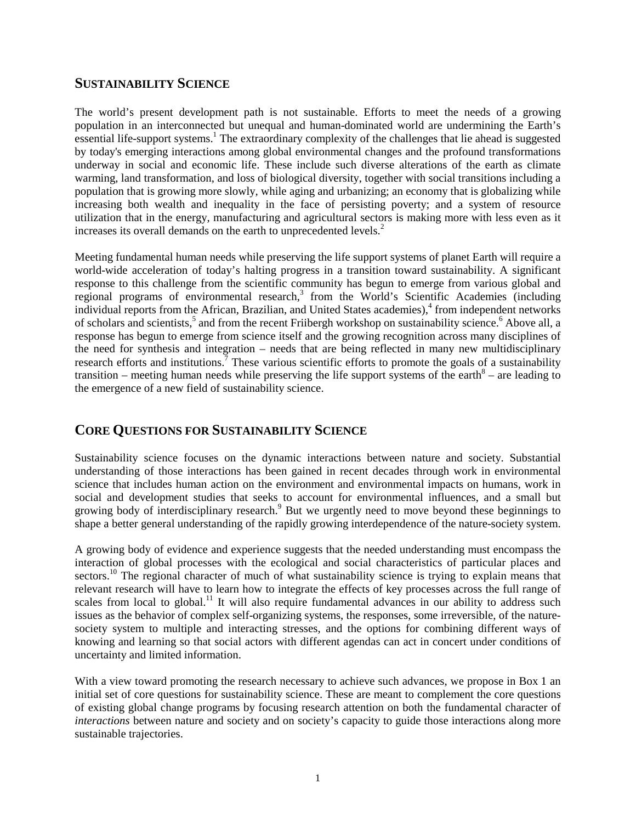#### <span id="page-5-0"></span>**SUSTAINABILITY SCIENCE**

The world's present development path is not sustainable. Efforts to meet the needs of a growing population in an interconnected but unequal and human-dominated world are undermining the Earth's essential life-support systems.<sup>1</sup> The extraordinary complexity of the challenges that lie ahead is suggested by today's emerging interactions among global environmental changes and the profound transformations underway in social and economic life. These include such diverse alterations of the earth as climate warming, land transformation, and loss of biological diversity, together with social transitions including a population that is growing more slowly, while aging and urbanizing; an economy that is globalizing while increasing both wealth and inequality in the face of persisting poverty; and a system of resource utilization that in the energy, manufacturing and agricultural sectors is making more with less even as it increases its overall demands on the earth to unprecedented levels. $<sup>2</sup>$  $<sup>2</sup>$  $<sup>2</sup>$ </sup>

Meeting fundamental human needs while preserving the life support systems of planet Earth will require a world-wide acceleration of today's halting progress in a transition toward sustainability. A significant response to this challenge from the scientific community has begun to emerge from various global and regional programs of environmental research,<sup>[3](#page-16-0)</sup> from the World's Scientific Academies (including individual reports from the African, Brazilian, and United States academies),<sup>[4](#page-16-0)</sup> from independent networks of scholars and scientists,<sup>[5](#page-16-0)</sup> and from the recent Friibergh workshop on sustainability science.<sup>[6](#page-16-0)</sup> Above all, a response has begun to emerge from science itself and the growing recognition across many disciplines of the need for synthesis and integration – needs that are being reflected in many new multidisciplinary research efforts and institutions.<sup>[7](#page-16-0)</sup> These various scientific efforts to promote the goals of a sustainability transition – meeting human needs while preserving the life support systems of the earth  $8 8 -$  are leading to the emergence of a new field of sustainability science.

#### **CORE QUESTIONS FOR SUSTAINABILITY SCIENCE**

Sustainability science focuses on the dynamic interactions between nature and society. Substantial understanding of those interactions has been gained in recent decades through work in environmental science that includes human action on the environment and environmental impacts on humans, work in social and development studies that seeks to account for environmental influences, and a small but growing body of interdisciplinary research.<sup>[9](#page-16-0)</sup> But we urgently need to move beyond these beginnings to shape a better general understanding of the rapidly growing interdependence of the nature-society system.

A growing body of evidence and experience suggests that the needed understanding must encompass the interaction of global processes with the ecological and social characteristics of particular places and sectors.<sup>10</sup> The regional character of much of what sustainability science is trying to explain means that relevant research will have to learn how to integrate the effects of key processes across the full range of scales from local to global.<sup>11</sup> It will also require fundamental advances in our ability to address such issues as the behavior of complex self-organizing systems, the responses, some irreversible, of the naturesociety system to multiple and interacting stresses, and the options for combining different ways of knowing and learning so that social actors with different agendas can act in concert under conditions of uncertainty and limited information.

With a view toward promoting the research necessary to achieve such advances, we propose in Box 1 and initial set of core questions for sustainability science. These are meant to complement the core questions of existing global change programs by focusing research attention on both the fundamental character of *interactions* between nature and society and on society's capacity to guide those interactions along more sustainable trajectories.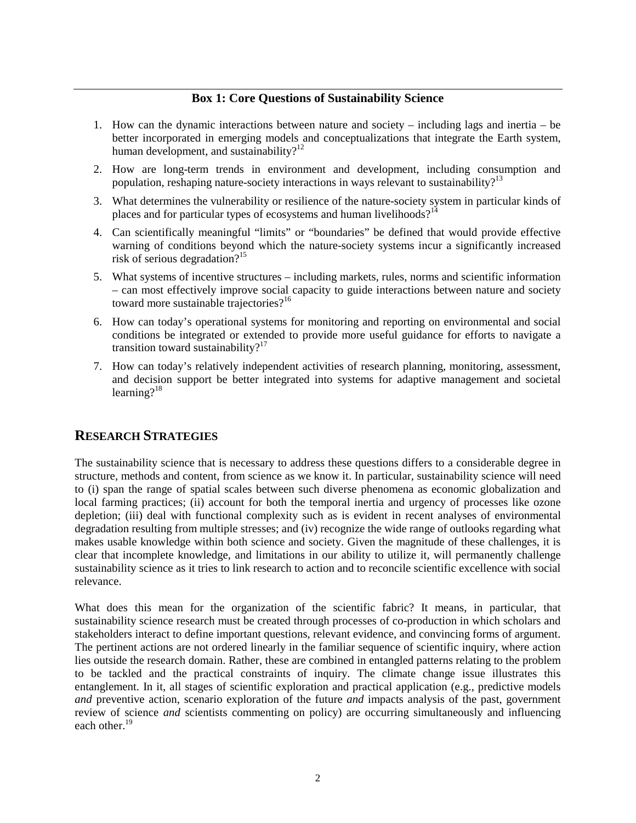#### **Box 1: Core Questions of Sustainability Science**

- <span id="page-6-0"></span>1. How can the dynamic interactions between nature and society – including lags and inertia – be better incorporated in emerging models and conceptualizations that integrate the Earth system, human development, and sustainability? $12$
- 2. How are long-term trends in environment and development, including consumption and population, reshaping nature-society interactions in ways relevant to sustainability?<sup>[13](#page-16-0)</sup>
- 3. What determines the vulnerability or resilience of the nature-society system in particular kinds of places and for particular types of ecosystems and human livelihoods?<sup>[14](#page-16-0)</sup>
- 4. Can scientifically meaningful "limits" or "boundaries" be defined that would provide effective warning of conditions beyond which the nature-society systems incur a significantly increased risk of serious degradation? $15$
- 5. What systems of incentive structures including markets, rules, norms and scientific information – can most effectively improve social capacity to guide interactions between nature and society toward more sustainable trajectories? $16$
- 6. How can today's operational systems for monitoring and reporting on environmental and social conditions be integrated or extended to provide more useful guidance for efforts to navigate a transition toward sustainability? $17$
- 7. How can today's relatively independent activities of research planning, monitoring, assessment, and decision support be better integrated into systems for adaptive management and societal learning? $18$

#### **RESEARCH STRATEGIES**

The sustainability science that is necessary to address these questions differs to a considerable degree in structure, methods and content, from science as we know it. In particular, sustainability science will need to (i) span the range of spatial scales between such diverse phenomena as economic globalization and local farming practices; (ii) account for both the temporal inertia and urgency of processes like ozone depletion; (iii) deal with functional complexity such as is evident in recent analyses of environmental degradation resulting from multiple stresses; and (iv) recognize the wide range of outlooks regarding what makes usable knowledge within both science and society. Given the magnitude of these challenges, it is clear that incomplete knowledge, and limitations in our ability to utilize it, will permanently challenge sustainability science as it tries to link research to action and to reconcile scientific excellence with social relevance.

What does this mean for the organization of the scientific fabric? It means, in particular, that sustainability science research must be created through processes of co-production in which scholars and stakeholders interact to define important questions, relevant evidence, and convincing forms of argument. The pertinent actions are not ordered linearly in the familiar sequence of scientific inquiry, where action lies outside the research domain. Rather, these are combined in entangled patterns relating to the problem to be tackled and the practical constraints of inquiry. The climate change issue illustrates this entanglement. In it, all stages of scientific exploration and practical application (e.g., predictive models *and* preventive action, scenario exploration of the future *and* impacts analysis of the past, government review of science *and* scientists commenting on policy) are occurring simultaneously and influencing each other.<sup>19</sup>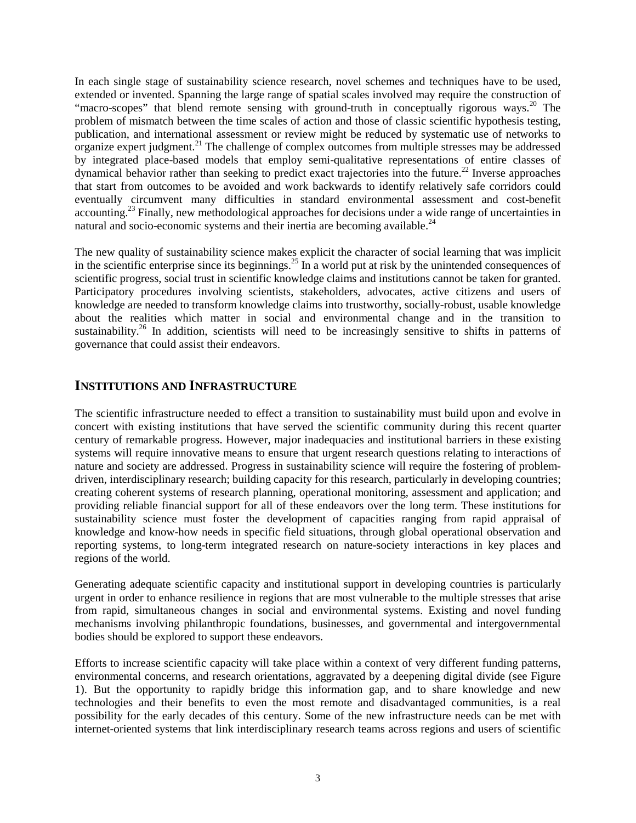<span id="page-7-0"></span>In each single stage of sustainability science research, novel schemes and techniques have to be used, extended or invented. Spanning the large range of spatial scales involved may require the construction of "macro-scopes" that blend remote sensing with ground-truth in conceptually rigorous ways.<sup>20</sup> The problem of mismatch between the time scales of action and those of classic scientific hypothesis testing, publication, and international assessment or review might be reduced by systematic use of networks to organize expert judgment.[21](#page-16-0) The challenge of complex outcomes from multiple stresses may be addressed by integrated place-based models that employ semi-qualitative representations of entire classes of dynamical behavior rather than seeking to predict exact trajectories into the future.<sup>22</sup> Inverse approaches that start from outcomes to be avoided and work backwards to identify relatively safe corridors could eventually circumvent many difficulties in standard environmental assessment and cost-benefit accounting.<sup>23</sup> Finally, new methodological approaches for decisions under a wide range of uncertainties in natural and socio-economic systems and their inertia are becoming available.<sup>24</sup>

The new quality of sustainability science makes explicit the character of social learning that was implicit in the scientific enterprise since its beginnings.<sup>25</sup> In a world put at risk by the unintended consequences of scientific progress, social trust in scientific knowledge claims and institutions cannot be taken for granted. Participatory procedures involving scientists, stakeholders, advocates, active citizens and users of knowledge are needed to transform knowledge claims into trustworthy, socially-robust, usable knowledge about the realities which matter in social and environmental change and in the transition to sustainability.<sup>26</sup> In addition, scientists will need to be increasingly sensitive to shifts in patterns of governance that could assist their endeavors.

#### **INSTITUTIONS AND INFRASTRUCTURE**

The scientific infrastructure needed to effect a transition to sustainability must build upon and evolve in concert with existing institutions that have served the scientific community during this recent quarter century of remarkable progress. However, major inadequacies and institutional barriers in these existing systems will require innovative means to ensure that urgent research questions relating to interactions of nature and society are addressed. Progress in sustainability science will require the fostering of problemdriven, interdisciplinary research; building capacity for this research, particularly in developing countries; creating coherent systems of research planning, operational monitoring, assessment and application; and providing reliable financial support for all of these endeavors over the long term. These institutions for sustainability science must foster the development of capacities ranging from rapid appraisal of knowledge and know-how needs in specific field situations, through global operational observation and reporting systems, to long-term integrated research on nature-society interactions in key places and regions of the world.

Generating adequate scientific capacity and institutional support in developing countries is particularly urgent in order to enhance resilience in regions that are most vulnerable to the multiple stresses that arise from rapid, simultaneous changes in social and environmental systems. Existing and novel funding mechanisms involving philanthropic foundations, businesses, and governmental and intergovernmental bodies should be explored to support these endeavors.

Efforts to increase scientific capacity will take place within a context of very different funding patterns, environmental concerns, and research orientations, aggravated by a deepening digital divide (see Figure 1). But the opportunity to rapidly bridge this information gap, and to share knowledge and new technologies and their benefits to even the most remote and disadvantaged communities, is a real possibility for the early decades of this century. Some of the new infrastructure needs can be met with internet-oriented systems that link interdisciplinary research teams across regions and users of scientific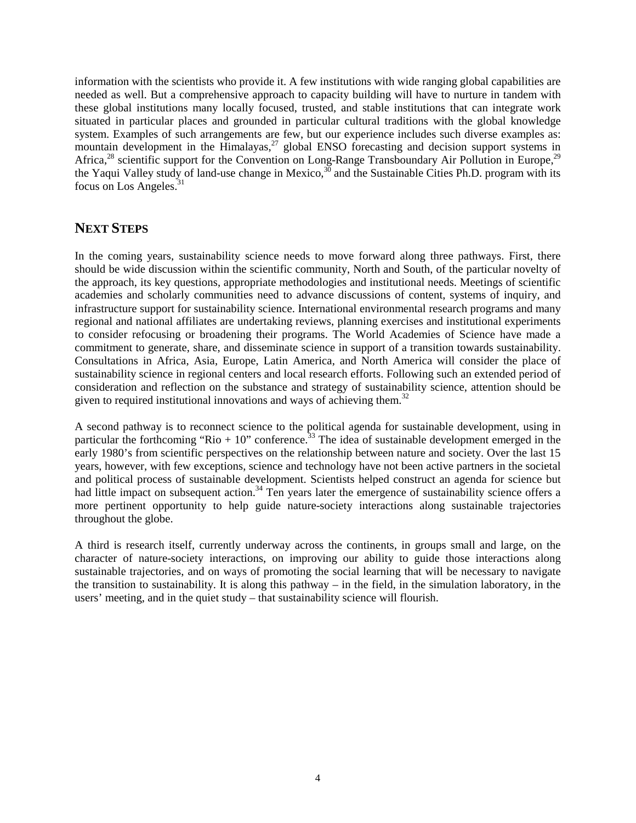<span id="page-8-0"></span>information with the scientists who provide it. A few institutions with wide ranging global capabilities are needed as well. But a comprehensive approach to capacity building will have to nurture in tandem with these global institutions many locally focused, trusted, and stable institutions that can integrate work situated in particular places and grounded in particular cultural traditions with the global knowledge system. Examples of such arrangements are few, but our experience includes such diverse examples as: mountain development in the Himalayas,<sup>27</sup> global ENSO forecasting and decision support systems in Africa,<sup>28</sup> scientific support for the Convention on Long-Range Transboundary Air Pollution in Europe,<sup>29</sup> the Yaqui Valley study of land-use change in Mexico,  $\frac{30}{9}$  and the Sustainable Cities Ph.D. program with its focus on Los Angeles.<sup>31</sup>

#### **NEXT STEPS**

In the coming years, sustainability science needs to move forward along three pathways. First, there should be wide discussion within the scientific community, North and South, of the particular novelty of the approach, its key questions, appropriate methodologies and institutional needs. Meetings of scientific academies and scholarly communities need to advance discussions of content, systems of inquiry, and infrastructure support for sustainability science. International environmental research programs and many regional and national affiliates are undertaking reviews, planning exercises and institutional experiments to consider refocusing or broadening their programs. The World Academies of Science have made a commitment to generate, share, and disseminate science in support of a transition towards sustainability. Consultations in Africa, Asia, Europe, Latin America, and North America will consider the place of sustainability science in regional centers and local research efforts. Following such an extended period of consideration and reflection on the substance and strategy of sustainability science, attention should be given to required institutional innovations and ways of achieving them.<sup>[32](#page-16-0)</sup>

A second pathway is to reconnect science to the political agenda for sustainable development, using in particular the forthcoming "Rio + 10" conference.<sup>33</sup> The idea of sustainable development emerged in the early 1980's from scientific perspectives on the relationship between nature and society. Over the last 15 years, however, with few exceptions, science and technology have not been active partners in the societal and political process of sustainable development. Scientists helped construct an agenda for science but had little impact on subsequent action.<sup>34</sup> Ten years later the emergence of sustainability science offers a more pertinent opportunity to help guide nature-society interactions along sustainable trajectories throughout the globe.

A third is research itself, currently underway across the continents, in groups small and large, on the character of nature-society interactions, on improving our ability to guide those interactions along sustainable trajectories, and on ways of promoting the social learning that will be necessary to navigate the transition to sustainability. It is along this pathway – in the field, in the simulation laboratory, in the users' meeting, and in the quiet study – that sustainability science will flourish.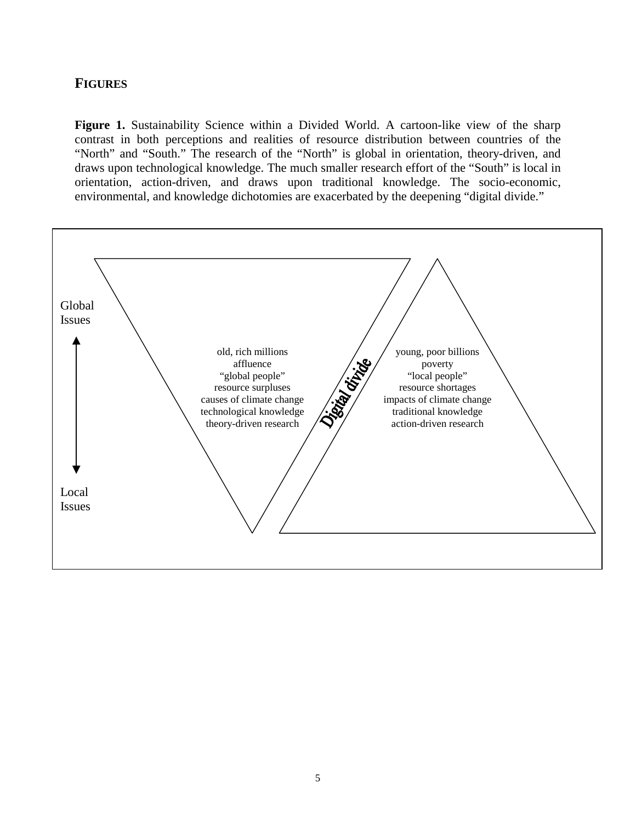### <span id="page-9-0"></span>**FIGURES**

**Figure 1.** Sustainability Science within a Divided World. A cartoon-like view of the sharp contrast in both perceptions and realities of resource distribution between countries of the "North" and "South." The research of the "North" is global in orientation, theory-driven, and draws upon technological knowledge. The much smaller research effort of the "South" is local in orientation, action-driven, and draws upon traditional knowledge. The socio-economic, environmental, and knowledge dichotomies are exacerbated by the deepening "digital divide."

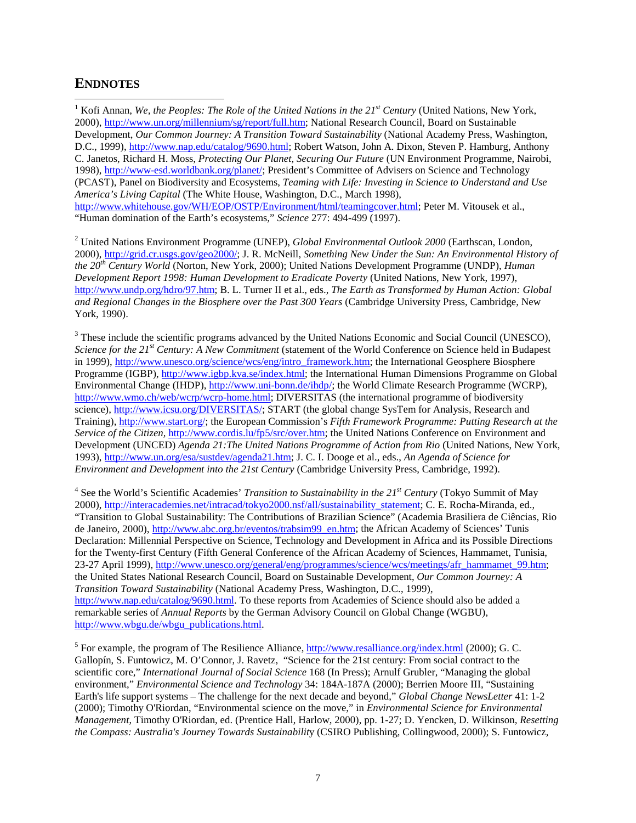### <span id="page-10-0"></span>**ENDNOTES**

l <sup>1</sup> Kofi Annan, *We, the Peoples: The Role of the United Nations in the 21<sup><i>st*</sup> Century (United Nations, New York, 2000), http://www.un.org/millennium/sg/report/full.htm; National Research Council, Board on Sustainable Development, *Our Common Journey: A Transition Toward Sustainability* (National Academy Press, Washington, D.C., 1999), http://www.nap.edu/catalog/9690.html; Robert Watson, John A. Dixon, Steven P. Hamburg, Anthony C. Janetos, Richard H. Moss, *Protecting Our Planet, Securing Our Future* (UN Environment Programme, Nairobi, 1998), http://www-esd.worldbank.org/planet/; President's Committee of Advisers on Science and Technology (PCAST), Panel on Biodiversity and Ecosystems, *Teaming with Life: Investing in Science to Understand and Use America's Living Capital* (The White House, Washington, D.C., March 1998), http://www.whitehouse.gov/WH/EOP/OSTP/Environment/html/teamingcover.html; Peter M. Vitousek et al., "Human domination of the Earth's ecosystems," *Science* 277: 494-499 (1997).

2 United Nations Environment Programme (UNEP), *Global Environmental Outlook 2000* (Earthscan, London, 2000), http://grid.cr.usgs.gov/geo2000/; J. R. McNeill, *Something New Under the Sun: An Environmental History of the 20th Century World* (Norton, New York, 2000); United Nations Development Programme (UNDP), *Human Development Report 1998: Human Development to Eradicate Poverty* (United Nations, New York, 1997), http://www.undp.org/hdro/97.htm; B. L. Turner II et al., eds., *The Earth as Transformed by Human Action: Global and Regional Changes in the Biosphere over the Past 300 Years* (Cambridge University Press, Cambridge, New York, 1990).

<sup>3</sup> These include the scientific programs advanced by the United Nations Economic and Social Council (UNESCO), *Science for the 21st Century: A New Commitment* (statement of the World Conference on Science held in Budapest in 1999), http://www.unesco.org/science/wcs/eng/intro\_framework.htm; the International Geosphere Biosphere Programme (IGBP), http://www.igbp.kva.se/index.html; the International Human Dimensions Programme on Global Environmental Change (IHDP), http://www.uni-bonn.de/ihdp/; the World Climate Research Programme (WCRP), http://www.wmo.ch/web/wcrp/wcrp-home.html; DIVERSITAS (the international programme of biodiversity science), http://www.icsu.org/DIVERSITAS/; START (the global change SysTem for Analysis, Research and Training), http://www.start.org/; the European Commission's *Fifth Framework Programme: Putting Research at the Service of the Citizen,* http://www.cordis.lu/fp5/src/over.htm; the United Nations Conference on Environment and Development (UNCED) *Agenda 21:The United Nations Programme of Action from Rio* (United Nations, New York, 1993), http://www.un.org/esa/sustdev/agenda21.htm; J. C. I. Dooge et al., eds., *An Agenda of Science for Environment and Development into the 21st Century* (Cambridge University Press, Cambridge, 1992).

<sup>4</sup> See the World's Scientific Academies' *Transition to Sustainability in the 21<sup>st</sup> Century* (Tokyo Summit of May 2000), http://interacademies.net/intracad/tokyo2000.nsf/all/sustainability\_statement; C. E. Rocha-Miranda, ed., "Transition to Global Sustainability: The Contributions of Brazilian Science" (Academia Brasiliera de Ciências, Rio de Janeiro, 2000), http://www.abc.org.br/eventos/trabsim99\_en.htm; the African Academy of Sciences' Tunis Declaration: Millennial Perspective on Science, Technology and Development in Africa and its Possible Directions for the Twenty-first Century (Fifth General Conference of the African Academy of Sciences, Hammamet, Tunisia, 23-27 April 1999), http://www.unesco.org/general/eng/programmes/science/wcs/meetings/afr\_hammamet\_99.htm; the United States National Research Council, Board on Sustainable Development, *Our Common Journey: A Transition Toward Sustainability* (National Academy Press, Washington, D.C., 1999), http://www.nap.edu/catalog/9690.html. To these reports from Academies of Science should also be added a remarkable series of *Annual Reports* by the German Advisory Council on Global Change (WGBU), http://www.wbgu.de/wbgu\_publications.html.

<sup>5</sup> For example, the program of The Resilience Alliance,  $\frac{http://www.resalliance.org/index.html}{http://www.resalliance.org/index.html}$  (2000); G. C. Gallopín, S. Funtowicz, M. O'Connor, J. Ravetz, "Science for the 21st century: From social contract to the scientific core," *International Journal of Social Science* 168 (In Press); Arnulf Grubler, "Managing the global environment," *Environmental Science and Technology* 34: 184A-187A (2000); Berrien Moore III, "Sustaining Earth's life support systems – The challenge for the next decade and beyond," *Global Change NewsLetter* 41: 1-2 (2000); Timothy O'Riordan, "Environmental science on the move," in *Environmental Science for Environmental Management*, Timothy O'Riordan, ed. (Prentice Hall, Harlow, 2000), pp. 1-27; D. Yencken, D. Wilkinson*, Resetting the Compass: Australia's Journey Towards Sustainabilit*y (CSIRO Publishing, Collingwood, 2000); S. Funtowicz,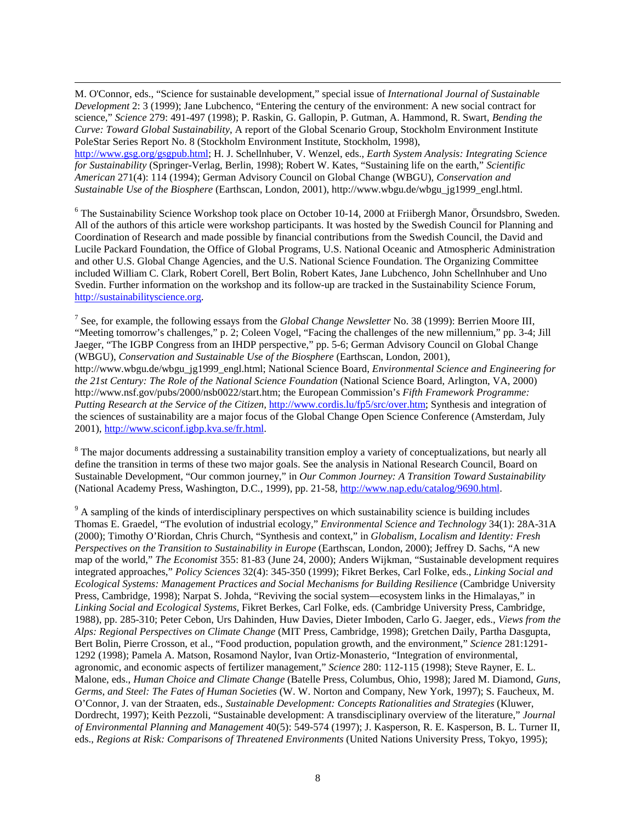l M. O'Connor, eds., "Science for sustainable development," special issue of *International Journal of Sustainable Development* 2: 3 (1999); Jane Lubchenco, "Entering the century of the environment: A new social contract for science," *Science* 279: 491-497 (1998); P. Raskin, G. Gallopin, P. Gutman, A. Hammond, R. Swart, *Bending the Curve: Toward Global Sustainability*, A report of the Global Scenario Group, Stockholm Environment Institute PoleStar Series Report No. 8 (Stockholm Environment Institute, Stockholm, 1998),

http://www.gsg.org/gsgpub.html; H. J. Schellnhuber, V. Wenzel, eds., *Earth System Analysis: Integrating Science for Sustainability* (Springer-Verlag, Berlin, 1998); Robert W. Kates, "Sustaining life on the earth," *Scientific American* 271(4): 114 (1994); German Advisory Council on Global Change (WBGU), *Conservation and Sustainable Use of the Biosphere* (Earthscan, London, 2001), http://www.wbgu.de/wbgu\_jg1999\_engl.html.

<sup>6</sup> The Sustainability Science Workshop took place on October 10-14, 2000 at Friibergh Manor, Örsundsbro, Sweden. All of the authors of this article were workshop participants. It was hosted by the Swedish Council for Planning and Coordination of Research and made possible by financial contributions from the Swedish Council, the David and Lucile Packard Foundation, the Office of Global Programs, U.S. National Oceanic and Atmospheric Administration and other U.S. Global Change Agencies, and the U.S. National Science Foundation. The Organizing Committee included William C. Clark, Robert Corell, Bert Bolin, Robert Kates, Jane Lubchenco, John Schellnhuber and Uno Svedin. Further information on the workshop and its follow-up are tracked in the Sustainability Science Forum, http://sustainabilityscience.org.

7 See, for example, the following essays from the *Global Change Newsletter* No. 38 (1999): Berrien Moore III, "Meeting tomorrow's challenges," p. 2; Coleen Vogel, "Facing the challenges of the new millennium," pp. 3-4; Jill Jaeger, "The IGBP Congress from an IHDP perspective," pp. 5-6; German Advisory Council on Global Change (WBGU), *Conservation and Sustainable Use of the Biosphere* (Earthscan, London, 2001), http://www.wbgu.de/wbgu\_jg1999\_engl.html; National Science Board, *Environmental Science and Engineering for the 21st Century: The Role of the National Science Foundation* (National Science Board, Arlington, VA, 2000) http://www.nsf.gov/pubs/2000/nsb0022/start.htm; the European Commission's *Fifth Framework Programme: Putting Research at the Service of the Citizen,* http://www.cordis.lu/fp5/src/over.htm; Synthesis and integration of the sciences of sustainability are a major focus of the Global Change Open Science Conference (Amsterdam, July 2001), http://www.sciconf.igbp.kva.se/fr.html.

 $8$  The major documents addressing a sustainability transition employ a variety of conceptualizations, but nearly all define the transition in terms of these two major goals. See the analysis in National Research Council, Board on Sustainable Development*,* "Our common journey," in *Our Common Journey: A Transition Toward Sustainability* (National Academy Press, Washington, D.C., 1999), pp. 21-58, http://www.nap.edu/catalog/9690.html.

<sup>9</sup> A sampling of the kinds of interdisciplinary perspectives on which sustainability science is building includes Thomas E. Graedel, "The evolution of industrial ecology," *Environmental Science and Technology* 34(1): 28A-31A (2000); Timothy O'Riordan, Chris Church, "Synthesis and context," in *Globalism, Localism and Identity: Fresh Perspectives on the Transition to Sustainability in Europe* (Earthscan, London, 2000); Jeffrey D. Sachs, "A new map of the world," *The Economist* 355: 81-83 (June 24, 2000); Anders Wijkman, "Sustainable development requires integrated approaches," *Policy Sciences* 32(4): 345-350 (1999); Fikret Berkes, Carl Folke, eds., *Linking Social and Ecological Systems: Management Practices and Social Mechanisms for Building Resilience* (Cambridge University Press, Cambridge, 1998); Narpat S. Johda, "Reviving the social system—ecosystem links in the Himalayas," in *Linking Social and Ecological Systems*, Fikret Berkes, Carl Folke, eds. (Cambridge University Press, Cambridge, 1988), pp. 285-310; Peter Cebon, Urs Dahinden, Huw Davies, Dieter Imboden, Carlo G. Jaeger, eds., *Views from the Alps: Regional Perspectives on Climate Change* (MIT Press, Cambridge, 1998); Gretchen Daily, Partha Dasgupta, Bert Bolin, Pierre Crosson, et al., "Food production, population growth, and the environment," *Science* 281:1291- 1292 (1998); Pamela A. Matson, Rosamond Naylor, Ivan Ortiz-Monasterio, "Integration of environmental, agronomic, and economic aspects of fertilizer management," *Science* 280: 112-115 (1998); Steve Rayner, E. L. Malone, eds., *Human Choice and Climate Change* (Batelle Press, Columbus, Ohio, 1998); Jared M. Diamond, *Guns, Germs, and Steel: The Fates of Human Societies* (W. W. Norton and Company, New York, 1997); S. Faucheux, M. O'Connor, J. van der Straaten, eds., *Sustainable Development: Concepts Rationalities and Strategies* (Kluwer, Dordrecht, 1997); Keith Pezzoli, "Sustainable development: A transdisciplinary overview of the literature," *Journal of Environmental Planning and Management* 40(5): 549-574 (1997); J. Kasperson, R. E. Kasperson, B. L. Turner II, eds., *Regions at Risk: Comparisons of Threatened Environments* (United Nations University Press, Tokyo, 1995);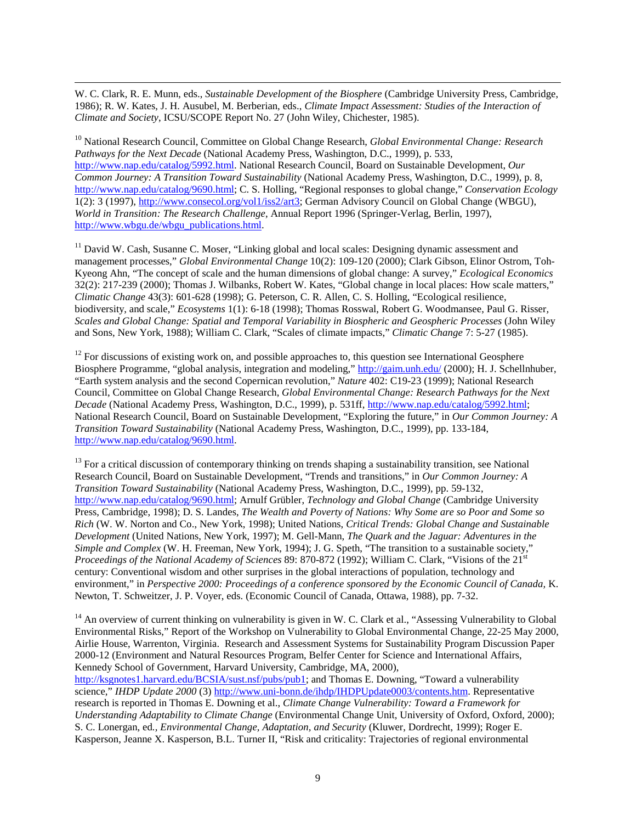l W. C. Clark, R. E. Munn, eds., *Sustainable Development of the Biosphere* (Cambridge University Press, Cambridge, 1986); R. W. Kates, J. H. Ausubel, M. Berberian, eds., *Climate Impact Assessment: Studies of the Interaction of Climate and Society*, ICSU/SCOPE Report No. 27 (John Wiley, Chichester, 1985).

10 National Research Council, Committee on Global Change Research, *Global Environmental Change: Research Pathways for the Next Decade* (National Academy Press, Washington, D.C., 1999), p. 533, http://www.nap.edu/catalog/5992.html. National Research Council, Board on Sustainable Development, *Our Common Journey: A Transition Toward Sustainability* (National Academy Press, Washington, D.C., 1999), p. 8, http://www.nap.edu/catalog/9690.html; C. S. Holling, "Regional responses to global change," *Conservation Ecology*  1(2): 3 (1997), http://www.consecol.org/vol1/iss2/art3; German Advisory Council on Global Change (WBGU), *World in Transition: The Research Challenge*, Annual Report 1996 (Springer-Verlag, Berlin, 1997), http://www.wbgu.de/wbgu\_publications.html.

<sup>11</sup> David W. Cash, Susanne C. Moser, "Linking global and local scales: Designing dynamic assessment and management processes," *Global Environmental Change* 10(2): 109-120 (2000); Clark Gibson, Elinor Ostrom, Toh-Kyeong Ahn, "The concept of scale and the human dimensions of global change: A survey," *Ecological Economics* 32(2): 217-239 (2000); Thomas J. Wilbanks, Robert W. Kates, "Global change in local places: How scale matters," *Climatic Change* 43(3): 601-628 (1998); G. Peterson, C. R. Allen, C. S. Holling, "Ecological resilience, biodiversity, and scale," *Ecosystems* 1(1): 6-18 (1998); Thomas Rosswal, Robert G. Woodmansee, Paul G. Risser*, Scales and Global Change: Spatial and Temporal Variability in Biospheric and Geospheric Processes* (John Wiley and Sons, New York, 1988); William C. Clark, "Scales of climate impacts," *Climatic Change* 7: 5-27 (1985).

 $12$  For discussions of existing work on, and possible approaches to, this question see International Geosphere Biosphere Programme, "global analysis, integration and modeling," http://gaim.unh.edu/ (2000); H. J. Schellnhuber, "Earth system analysis and the second Copernican revolution," *Nature* 402: C19-23 (1999); National Research Council, Committee on Global Change Research, *Global Environmental Change: Research Pathways for the Next Decade* (National Academy Press, Washington, D.C., 1999), p. 531ff, http://www.nap.edu/catalog/5992.html; National Research Council, Board on Sustainable Development, "Exploring the future," in *Our Common Journey: A Transition Toward Sustainability* (National Academy Press, Washington, D.C., 1999), pp. 133-184, http://www.nap.edu/catalog/9690.html.

 $13$  For a critical discussion of contemporary thinking on trends shaping a sustainability transition, see National Research Council, Board on Sustainable Development, "Trends and transitions," in *Our Common Journey: A Transition Toward Sustainability* (National Academy Press, Washington, D.C., 1999), pp. 59-132, http://www.nap.edu/catalog/9690.html; Arnulf Grübler, *Technology and Global Change* (Cambridge University Press, Cambridge, 1998); D. S. Landes, *The Wealth and Poverty of Nations: Why Some are so Poor and Some so Rich* (W. W. Norton and Co., New York, 1998); United Nations, *Critical Trends: Global Change and Sustainable Development* (United Nations, New York, 1997); M. Gell-Mann, *The Quark and the Jaguar: Adventures in the Simple and Complex* (W. H. Freeman, New York, 1994); J. G. Speth, "The transition to a sustainable society," *Proceedings of the National Academy of Sciences 89: 870-872 (1992); William C. Clark, "Visions of the 21"* century: Conventional wisdom and other surprises in the global interactions of population, technology and environment," in *Perspective 2000: Proceedings of a conference sponsored by the Economic Council of Canada*, K. Newton, T. Schweitzer, J. P. Voyer, eds. (Economic Council of Canada, Ottawa, 1988), pp. 7-32.

<sup>14</sup> An overview of current thinking on vulnerability is given in W. C. Clark et al., "Assessing Vulnerability to Global Environmental Risks," Report of the Workshop on Vulnerability to Global Environmental Change, 22-25 May 2000, Airlie House, Warrenton, Virginia. Research and Assessment Systems for Sustainability Program Discussion Paper 2000-12 (Environment and Natural Resources Program, Belfer Center for Science and International Affairs, Kennedy School of Government, Harvard University, Cambridge, MA, 2000), http://ksgnotes1.harvard.edu/BCSIA/sust.nsf/pubs/pub1; and Thomas E. Downing, "Toward a vulnerability science," *IHDP Update 2000* (3) http://www.uni-bonn.de/ihdp/IHDPUpdate0003/contents.htm. Representative research is reported in Thomas E. Downing et al., *Climate Change Vulnerability: Toward a Framework for Understanding Adaptability to Climate Change* (Environmental Change Unit, University of Oxford, Oxford, 2000); S. C. Lonergan, ed*., Environmental Change, Adaptation, and Security* (Kluwer, Dordrecht, 1999); Roger E. Kasperson, Jeanne X. Kasperson, B.L. Turner II, "Risk and criticality: Trajectories of regional environmental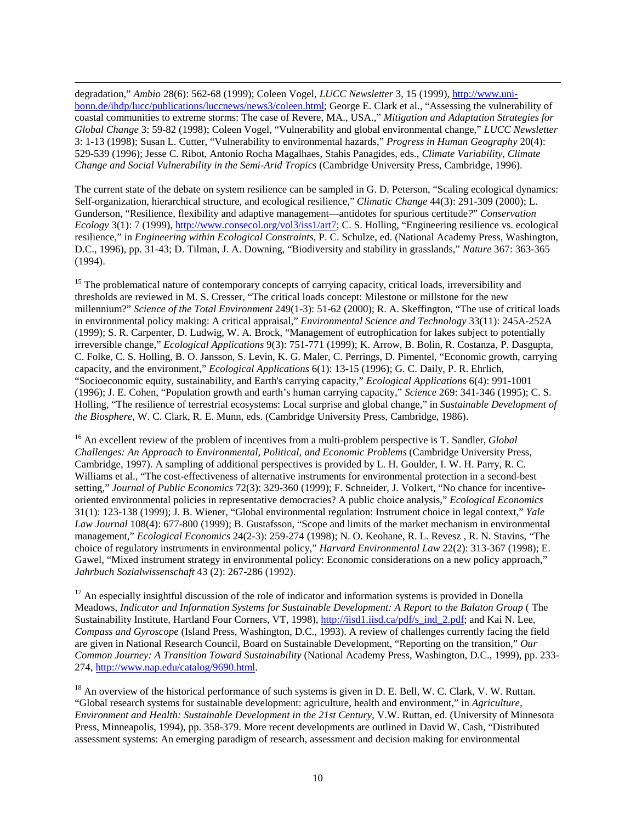l degradation," *Ambio* 28(6): 562-68 (1999); Coleen Vogel, *LUCC Newsletter* 3, 15 (1999), http://www.unibonn.de/ihdp/lucc/publications/luccnews/news3/coleen.html; George E. Clark et al., "Assessing the vulnerability of coastal communities to extreme storms: The case of Revere, MA., USA.," *Mitigation and Adaptation Strategies for Global Change* 3: 59-82 (1998); Coleen Vogel, "Vulnerability and global environmental change," *LUCC Newsletter* 3: 1-13 (1998); Susan L. Cutter, "Vulnerability to environmental hazards," *Progress in Human Geography* 20(4): 529-539 (1996); Jesse C. Ribot, Antonio Rocha Magalhaes, Stahis Panagides, eds., *Climate Variability, Climate Change and Social Vulnerability in the Semi-Arid Tropics* (Cambridge University Press, Cambridge, 1996).

The current state of the debate on system resilience can be sampled in G. D. Peterson, "Scaling ecological dynamics: Self-organization, hierarchical structure, and ecological resilience," *Climatic Change* 44(3): 291-309 (2000); L. Gunderson, "Resilience, flexibility and adaptive management—antidotes for spurious certitude*?*" *Conservation Ecology* 3(1): 7 (1999), http://www.consecol.org/vol3/iss1/art7; C. S. Holling, "Engineering resilience vs. ecological resilience," in *Engineering within Ecological Constraints*, P. C. Schulze, ed. (National Academy Press, Washington, D.C., 1996), pp. 31-43; D. Tilman, J. A. Downing, "Biodiversity and stability in grasslands," *Nature* 367: 363-365 (1994).

<sup>15</sup> The problematical nature of contemporary concepts of carrying capacity, critical loads, irreversibility and thresholds are reviewed in M. S. Cresser, "The critical loads concept: Milestone or millstone for the new millennium?" *Science of the Total Environment* 249(1-3): 51-62 (2000); R. A. Skeffington, "The use of critical loads in environmental policy making: A critical appraisal," *Environmental Science and Technology* 33(11): 245A-252A (1999); S. R. Carpenter, D. Ludwig, W. A. Brock, "Management of eutrophication for lakes subject to potentially irreversible change," *Ecological Applications* 9(3): 751-771 (1999); K. Arrow, B. Bolin, R. Costanza, P. Dasgupta, C. Folke, C. S. Holling, B. O. Jansson, S. Levin, K. G. Maler, C. Perrings, D. Pimentel, "Economic growth, carrying capacity, and the environment," *Ecological Applications* 6(1): 13-15 (1996); G. C. Daily, P. R. Ehrlich, "Socioeconomic equity, sustainability, and Earth's carrying capacity," *Ecological Applications* 6(4): 991-1001 (1996); J. E. Cohen, "Population growth and earth's human carrying capacity," *Science* 269: 341-346 (1995); C. S. Holling, "The resilience of terrestrial ecosystems: Local surprise and global change," in *Sustainable Development of the Biosphere*, W. C. Clark, R. E. Munn, eds. (Cambridge University Press, Cambridge, 1986).

16 An excellent review of the problem of incentives from a multi-problem perspective is T. Sandler, *Global Challenges: An Approach to Environmental, Political, and Economic Problems* (Cambridge University Press, Cambridge, 1997). A sampling of additional perspectives is provided by L. H. Goulder, I. W. H. Parry, R. C. Williams et al., "The cost-effectiveness of alternative instruments for environmental protection in a second-best setting," *Journal of Public Economics* 72(3): 329-360 (1999); F. Schneider, J. Volkert, "No chance for incentiveoriented environmental policies in representative democracies? A public choice analysis," *Ecological Economics*  31(1): 123-138 (1999); J. B. Wiener, "Global environmental regulation: Instrument choice in legal context," *Yale Law Journal* 108(4): 677-800 (1999); B. Gustafsson, "Scope and limits of the market mechanism in environmental management," *Ecological Economics* 24(2-3): 259-274 (1998); N. O. Keohane, R. L. Revesz , R. N. Stavins, "The choice of regulatory instruments in environmental policy," *Harvard Environmental Law* 22(2): 313-367 (1998); E. Gawel, "Mixed instrument strategy in environmental policy: Economic considerations on a new policy approach," *Jahrbuch Sozialwissenschaft* 43 (2): 267-286 (1992).

 $17$  An especially insightful discussion of the role of indicator and information systems is provided in Donella Meadows, *Indicator and Information Systems for Sustainable Development: A Report to the Balaton Group* ( The Sustainability Institute, Hartland Four Corners, VT, 1998), http://iisd1.iisd.ca/pdf/s\_ind\_2.pdf; and Kai N. Lee, *Compass and Gyroscope* (Island Press, Washington, D.C., 1993). A review of challenges currently facing the field are given in National Research Council, Board on Sustainable Development, "Reporting on the transition," *Our Common Journey: A Transition Toward Sustainability* (National Academy Press, Washington, D.C., 1999), pp. 233- 274, http://www.nap.edu/catalog/9690.html.

 $18$  An overview of the historical performance of such systems is given in D. E. Bell, W. C. Clark, V. W. Ruttan. "Global research systems for sustainable development: agriculture, health and environment," in *Agriculture, Environment and Health: Sustainable Development in the 21st Century*, V.W. Ruttan, ed. (University of Minnesota Press, Minneapolis, 1994), pp. 358-379. More recent developments are outlined in David W. Cash, "Distributed assessment systems: An emerging paradigm of research, assessment and decision making for environmental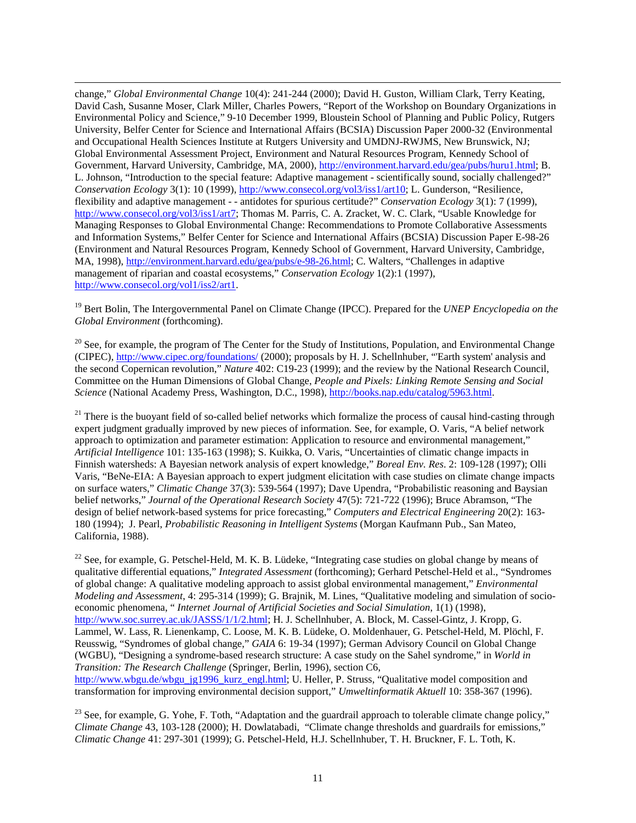change," *Global Environmental Change* 10(4): 241-244 (2000); David H. Guston, William Clark, Terry Keating, David Cash, Susanne Moser, Clark Miller, Charles Powers, "Report of the Workshop on Boundary Organizations in Environmental Policy and Science," 9-10 December 1999, Bloustein School of Planning and Public Policy, Rutgers University, Belfer Center for Science and International Affairs (BCSIA) Discussion Paper 2000-32 (Environmental and Occupational Health Sciences Institute at Rutgers University and UMDNJ-RWJMS, New Brunswick, NJ; Global Environmental Assessment Project, Environment and Natural Resources Program, Kennedy School of Government, Harvard University, Cambridge, MA, 2000), http://environment.harvard.edu/gea/pubs/huru1.html; B. L. Johnson, "Introduction to the special feature: Adaptive management - scientifically sound, socially challenged?" *Conservation Ecology* 3(1): 10 (1999), http://www.consecol.org/vol3/iss1/art10; L. Gunderson, "Resilience, flexibility and adaptive management - - antidotes for spurious certitude?" *Conservation Ecology* 3(1): 7 (1999), http://www.consecol.org/vol3/iss1/art7; Thomas M. Parris, C. A. Zracket, W. C. Clark, "Usable Knowledge for Managing Responses to Global Environmental Change: Recommendations to Promote Collaborative Assessments and Information Systems," Belfer Center for Science and International Affairs (BCSIA) Discussion Paper E-98-26 (Environment and Natural Resources Program, Kennedy School of Government, Harvard University, Cambridge, MA, 1998), http://environment.harvard.edu/gea/pubs/e-98-26.html; C. Walters, "Challenges in adaptive management of riparian and coastal ecosystems," *Conservation Ecology* 1(2):1 (1997), http://www.consecol.org/vol1/iss2/art1.

l

<sup>19</sup> Bert Bolin, The Intergovernmental Panel on Climate Change (IPCC). Prepared for the *UNEP Encyclopedia on the Global Environment* (forthcoming).

 $20$  See, for example, the program of The Center for the Study of Institutions, Population, and Environmental Change (CIPEC), http://www.cipec.org/foundations/ (2000); proposals by H. J. Schellnhuber, "'Earth system' analysis and the second Copernican revolution," *Nature* 402: C19-23 (1999); and the review by the National Research Council, Committee on the Human Dimensions of Global Change, *People and Pixels: Linking Remote Sensing and Social Science* (National Academy Press, Washington, D.C., 1998), http://books.nap.edu/catalog/5963.html.

 $21$  There is the buoyant field of so-called belief networks which formalize the process of causal hind-casting through expert judgment gradually improved by new pieces of information. See, for example, O. Varis, "A belief network approach to optimization and parameter estimation: Application to resource and environmental management," *Artificial Intelligence* 101: 135-163 (1998); S. Kuikka, O. Varis, "Uncertainties of climatic change impacts in Finnish watersheds: A Bayesian network analysis of expert knowledge," *Boreal Env. Res*. 2: 109-128 (1997); Olli Varis, "BeNe-EIA: A Bayesian approach to expert judgment elicitation with case studies on climate change impacts on surface waters," *Climatic Change* 37(3): 539-564 (1997); Dave Upendra, "Probabilistic reasoning and Baysian belief networks," *Journal of the Operational Research Society* 47(5): 721-722 (1996); Bruce Abramson, "The design of belief network-based systems for price forecasting," *Computers and Electrical Engineering* 20(2): 163- 180 (1994); J. Pearl, *Probabilistic Reasoning in Intelligent Systems* (Morgan Kaufmann Pub., San Mateo, California, 1988).

<sup>22</sup> See, for example, G. Petschel-Held, M. K. B. Lüdeke, "Integrating case studies on global change by means of qualitative differential equations," *Integrated Assessment* (forthcoming); Gerhard Petschel-Held et al., "Syndromes of global change: A qualitative modeling approach to assist global environmental management," *Environmental Modeling and Assessment*, 4: 295-314 (1999); G. Brajnik, M. Lines, "Qualitative modeling and simulation of socioeconomic phenomena, " *Internet Journal of Artificial Societies and Social Simulation*, 1(1) (1998), http://www.soc.surrey.ac.uk/JASSS/1/1/2.html; H. J. Schellnhuber, A. Block, M. Cassel-Gintz, J. Kropp, G. Lammel, W. Lass, R. Lienenkamp, C. Loose, M. K. B. Lüdeke, O. Moldenhauer, G. Petschel-Held, M. Plöchl, F. Reusswig, "Syndromes of global change," *GAIA* 6: 19-34 (1997); German Advisory Council on Global Change (WGBU), "Designing a syndrome-based research structure: A case study on the Sahel syndrome," in *World in Transition: The Research Challenge* (Springer, Berlin, 1996), section C6, http://www.wbgu.de/wbgu\_jg1996\_kurz\_engl.html; U. Heller, P. Struss, "Qualitative model composition and transformation for improving environmental decision support," *Umweltinformatik Aktuell* 10: 358-367 (1996).

<sup>23</sup> See, for example, G. Yohe, F. Toth, "Adaptation and the guardrail approach to tolerable climate change policy," *Climate Change* 43, 103-128 (2000); H. Dowlatabadi, "Climate change thresholds and guardrails for emissions," *Climatic Change* 41: 297-301 (1999); G. Petschel-Held, H.J. Schellnhuber, T. H. Bruckner, F. L. Toth, K.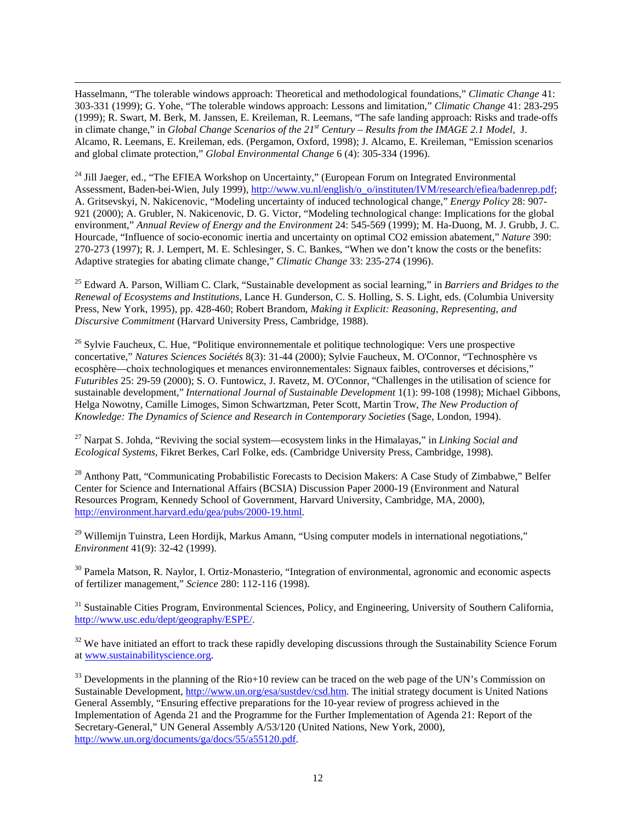l Hasselmann, "The tolerable windows approach: Theoretical and methodological foundations," *Climatic Change* 41: 303-331 (1999); G. Yohe, "The tolerable windows approach: Lessons and limitation," *Climatic Change* 41: 283-295 (1999); R. Swart, M. Berk, M. Janssen, E. Kreileman, R. Leemans, "The safe landing approach: Risks and trade-offs in climate change," in *Global Change Scenarios of the 21st Century – Results from the IMAGE 2.1 Model,* J. Alcamo, R. Leemans, E. Kreileman, eds. (Pergamon, Oxford, 1998); J. Alcamo, E. Kreileman, "Emission scenarios and global climate protection," *Global Environmental Change* 6 (4): 305-334 (1996).

<sup>24</sup> Jill Jaeger, ed., "The EFIEA Workshop on Uncertainty," (European Forum on Integrated Environmental Assessment, Baden-bei-Wien, July 1999), http://www.vu.nl/english/o\_o/instituten/IVM/research/efiea/badenrep.pdf; A. Gritsevskyi, N. Nakicenovic, "Modeling uncertainty of induced technological change," *Energy Policy* 28: 907- 921 (2000); A. Grubler, N. Nakicenovic, D. G. Victor, "Modeling technological change: Implications for the global environment," *Annual Review of Energy and the Environment* 24: 545-569 (1999); M. Ha-Duong, M. J. Grubb, J. C. Hourcade, "Influence of socio-economic inertia and uncertainty on optimal CO2 emission abatement," *Nature* 390: 270-273 (1997); R. J. Lempert, M. E. Schlesinger, S. C. Bankes, "When we don't know the costs or the benefits: Adaptive strategies for abating climate change," *Climatic Change* 33: 235-274 (1996).

25 Edward A. Parson, William C. Clark, "Sustainable development as social learning," in *Barriers and Bridges to the Renewal of Ecosystems and Institutions*, Lance H. Gunderson, C. S. Holling, S. S. Light, eds. (Columbia University Press, New York, 1995), pp. 428-460; Robert Brandom, *Making it Explicit: Reasoning, Representing, and Discursive Commitment* (Harvard University Press, Cambridge, 1988).

<sup>26</sup> Sylvie Faucheux, C. Hue, "Politique environnementale et politique technologique: Vers une prospective concertative," *Natures Sciences Sociétés* 8(3): 31-44 (2000); Sylvie Faucheux, M. O'Connor, "Technosphère vs ecosphère—choix technologiques et menances environnementales: Signaux faibles, controverses et décisions," *Futuribles* 25: 29-59 (2000); S. O. Funtowicz, J. Ravetz, M. O'Connor, "Challenges in the utilisation of science for sustainable development," *International Journal of Sustainable Development* 1(1): 99-108 (1998); Michael Gibbons, Helga Nowotny, Camille Limoges, Simon Schwartzman, Peter Scott, Martin Trow, *The New Production of Knowledge: The Dynamics of Science and Research in Contemporary Societies* (Sage, London, 1994).

27 Narpat S. Johda, "Reviving the social system—ecosystem links in the Himalayas," in *Linking Social and Ecological Systems*, Fikret Berkes, Carl Folke, eds. (Cambridge University Press, Cambridge, 1998).

<sup>28</sup> Anthony Patt, "Communicating Probabilistic Forecasts to Decision Makers: A Case Study of Zimbabwe," Belfer Center for Science and International Affairs (BCSIA) Discussion Paper 2000-19 (Environment and Natural Resources Program, Kennedy School of Government, Harvard University, Cambridge, MA, 2000), http://environment.harvard.edu/gea/pubs/2000-19.html.

<sup>29</sup> Willemijn Tuinstra, Leen Hordijk, Markus Amann, "Using computer models in international negotiations," *Environment* 41(9): 32-42 (1999).

<sup>30</sup> Pamela Matson, R. Naylor, I. Ortiz-Monasterio, "Integration of environmental, agronomic and economic aspects of fertilizer management," *Science* 280: 112-116 (1998).

<sup>31</sup> Sustainable Cities Program, Environmental Sciences, Policy, and Engineering, University of Southern California, http://www.usc.edu/dept/geography/ESPE/.

 $32$  We have initiated an effort to track these rapidly developing discussions through the Sustainability Science Forum at www.sustainabilityscience.org.

 $33$  Developments in the planning of the Rio+10 review can be traced on the web page of the UN's Commission on Sustainable Development, http://www.un.org/esa/sustdev/csd.htm. The initial strategy document is United Nations General Assembly, "Ensuring effective preparations for the 10-year review of progress achieved in the Implementation of Agenda 21 and the Programme for the Further Implementation of Agenda 21: Report of the Secretary-General," UN General Assembly A/53/120 (United Nations, New York, 2000), http://www.un.org/documents/ga/docs/55/a55120.pdf.